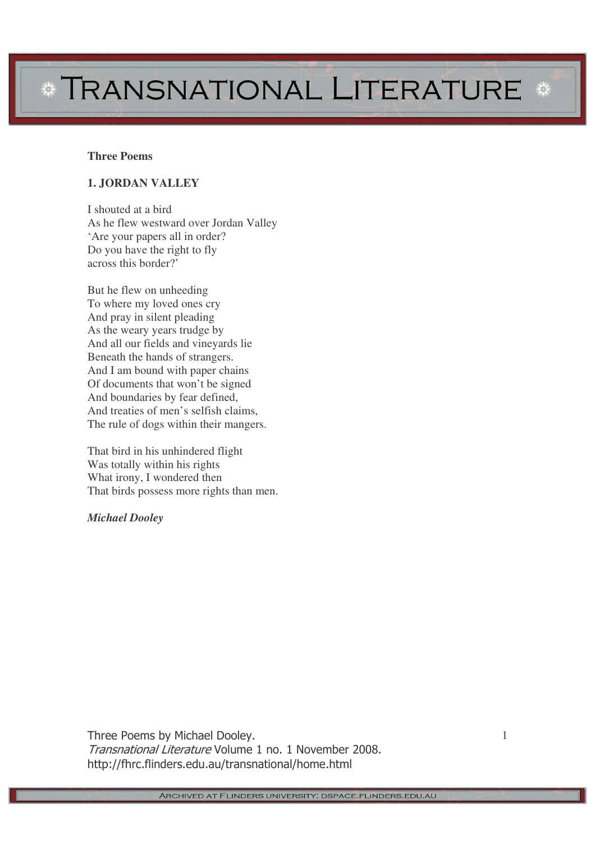# \* TRANSNATIONAL LITERATURE \*

#### **Three Poems**

### **1. JORDAN VALLEY**

I shouted at a bird As he flew westward over Jordan Valley 'Are your papers all in order? Do you have the right to fly across this border?'

But he flew on unheeding To where my loved ones cry And pray in silent pleading As the weary years trudge by And all our fields and vineyards lie Beneath the hands of strangers. And I am bound with paper chains Of documents that won't be signed And boundaries by fear defined, And treaties of men's selfish claims, The rule of dogs within their mangers.

That bird in his unhindered flight Was totally within his rights What irony, I wondered then That birds possess more rights than men.

*Michael Dooley*

Three Poems by Michael Dooley. Transnational Literature Volume 1 no. 1 November 2008. http://fhrc.flinders.edu.au/transnational/home.html

1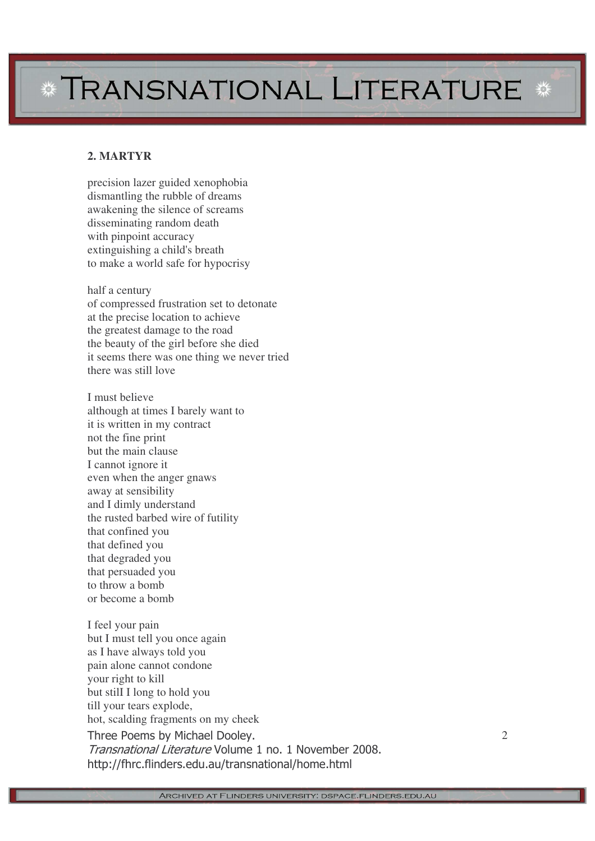# *\** **TRANSNATIONAL LITERATURE**

### **2 . M A R T Y R**

precision lazer guided xenophobia dismantling the rubble of dreams awakening the silence of screams disseminating random death with pinpoint accuracy extinguishing a child's breath to make a world safe for hypocrisy

half a century of compressed frustration set to detonate at the precise location to achieve the greatest damage to the road the beauty of the girl before she died it seems there was one thing we never tried there was still love

I must believe although at times I barely want to it is written in my contract not the fine print but the main clause I cannot ignore it even when the anger gnaws away at sensibility and I dimly understand the rusted barbed wire of futility that confined you that defined you that degraded you that persuaded you to throw a bomb or become a bomb

Three Poems by Michael Dooley. Transnational Literature Volume 1 no. 1 November 2008. <sup>2</sup> I feel your pain but I must tell you once again as I have always told you pain alone cannot condone your right to kill but still I long to hold you till your tears explode, hot, scalding fragments on my cheek

http://fhrc.flinders.edu.au/transnational/home.htm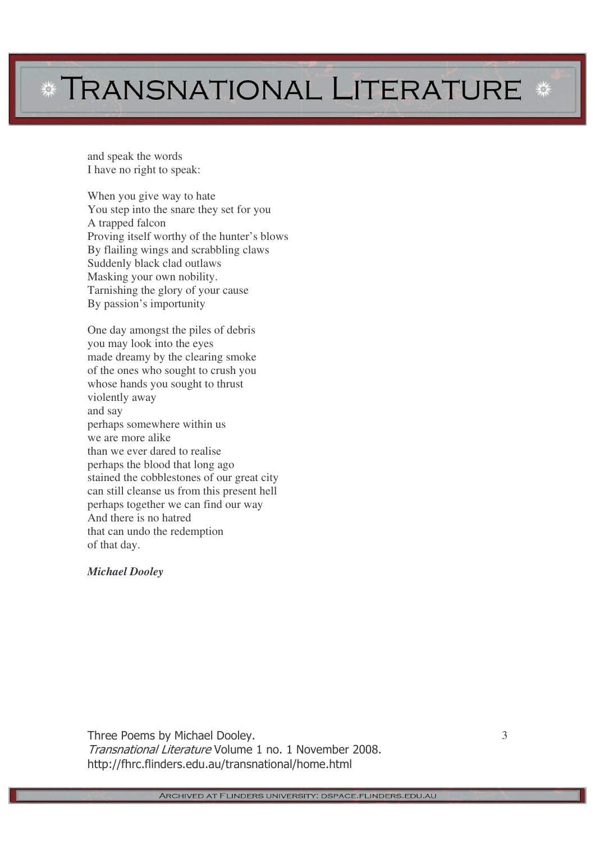# **\* TRANSNATIONAL LITERATURE \***

and speak the words I have no right to speak:

When you give way to hate You step into the snare they set for you A trapped falcon Proving itself worthy of the hunter's blows By flailing wings and scrabbling claws Suddenly black clad outlaws Masking your own nobility. Tarnishing the glory of your cause By passion's importunity

One day amongst the piles of debris you may look into the eyes made dreamy by the clearing smoke of the ones who sought to crush you whose hands you sought to thrust violently away and say perhaps somewhere within us we are more alike than we ever dared to realise perhaps the blood that long ago stained the cobblestones of our great city can still cleanse us from this present hell perhaps together we can find our way And there is no hatred that can undo the redemption of that day.

### *Michael Dooley*

Three Poems by Michael Dooley. Transnational Literature Volume 1 no. 1 November 2008. http://fhrc.flinders.edu.au/transnational/home.html